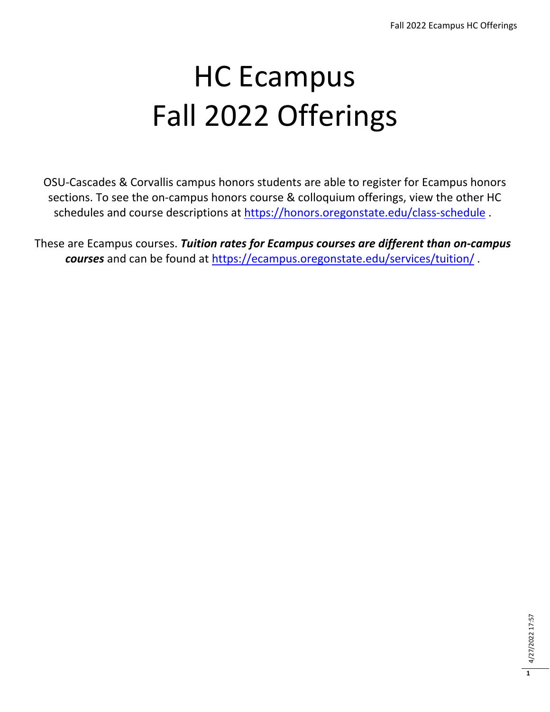## HC Ecampus Fall 2022 Offerings

OSU-Cascades & Corvallis campus honors students are able to register for Ecampus honors sections. To see the on-campus honors course & colloquium offerings, view the other HC schedules and course descriptions at<https://honors.oregonstate.edu/class-schedule> .

These are Ecampus courses. *Tuition rates for Ecampus courses are different than on-campus courses* and can be found at<https://ecampus.oregonstate.edu/services/tuition/> .